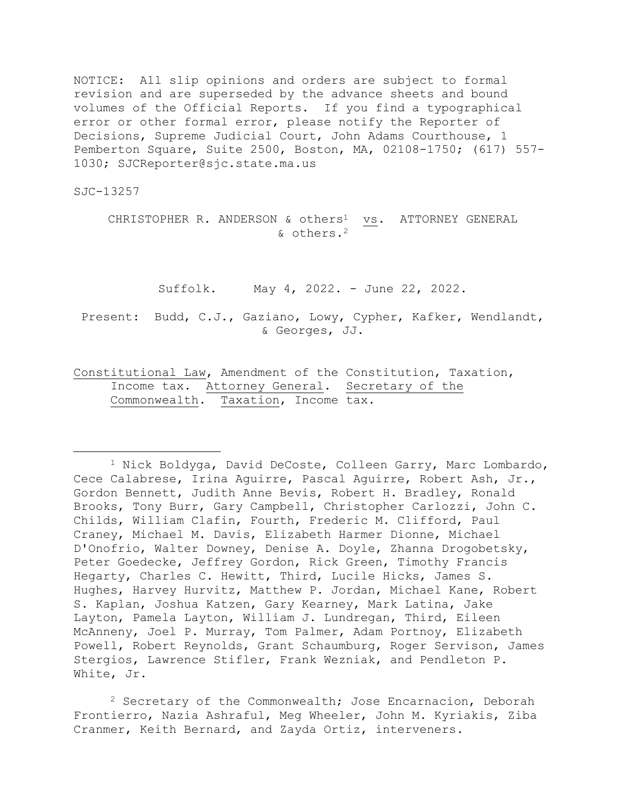NOTICE: All slip opinions and orders are subject to formal revision and are superseded by the advance sheets and bound volumes of the Official Reports. If you find a typographical error or other formal error, please notify the Reporter of Decisions, Supreme Judicial Court, John Adams Courthouse, 1 Pemberton Square, Suite 2500, Boston, MA, 02108-1750; (617) 557- 1030; SJCReporter@sjc.state.ma.us

SJC-13257

CHRISTOPHER R. ANDERSON & others<sup>1</sup> vs. ATTORNEY GENERAL & others.<sup>2</sup>

Suffolk. May 4, 2022. - June 22, 2022.

Present: Budd, C.J., Gaziano, Lowy, Cypher, Kafker, Wendlandt, & Georges, JJ.

Constitutional Law, Amendment of the Constitution, Taxation, Income tax. Attorney General. Secretary of the Commonwealth. Taxation, Income tax.

<sup>1</sup> Nick Boldyga, David DeCoste, Colleen Garry, Marc Lombardo, Cece Calabrese, Irina Aguirre, Pascal Aguirre, Robert Ash, Jr., Gordon Bennett, Judith Anne Bevis, Robert H. Bradley, Ronald Brooks, Tony Burr, Gary Campbell, Christopher Carlozzi, John C. Childs, William Clafin, Fourth, Frederic M. Clifford, Paul Craney, Michael M. Davis, Elizabeth Harmer Dionne, Michael D'Onofrio, Walter Downey, Denise A. Doyle, Zhanna Drogobetsky, Peter Goedecke, Jeffrey Gordon, Rick Green, Timothy Francis Hegarty, Charles C. Hewitt, Third, Lucile Hicks, James S. Hughes, Harvey Hurvitz, Matthew P. Jordan, Michael Kane, Robert S. Kaplan, Joshua Katzen, Gary Kearney, Mark Latina, Jake Layton, Pamela Layton, William J. Lundregan, Third, Eileen McAnneny, Joel P. Murray, Tom Palmer, Adam Portnoy, Elizabeth Powell, Robert Reynolds, Grant Schaumburg, Roger Servison, James Stergios, Lawrence Stifler, Frank Wezniak, and Pendleton P. White, Jr.

<sup>2</sup> Secretary of the Commonwealth; Jose Encarnacion, Deborah Frontierro, Nazia Ashraful, Meg Wheeler, John M. Kyriakis, Ziba Cranmer, Keith Bernard, and Zayda Ortiz, interveners.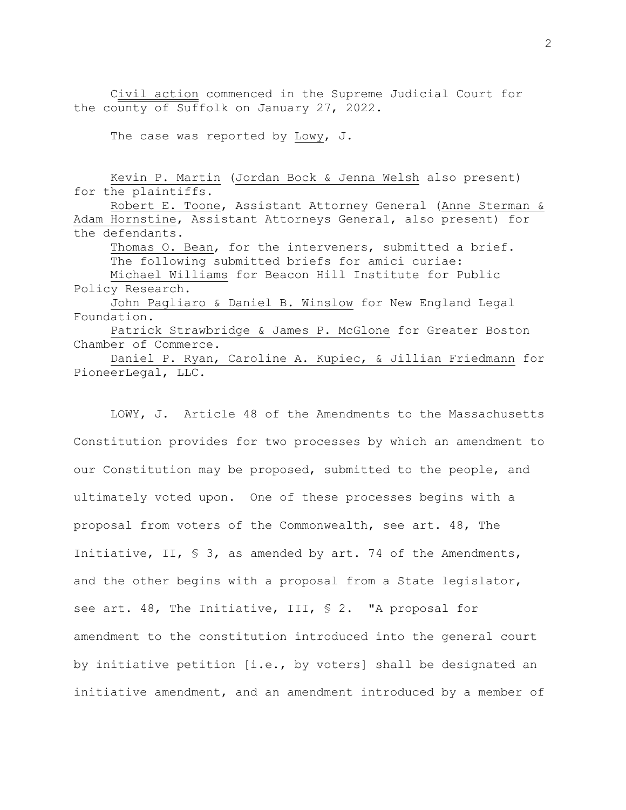Civil action commenced in the Supreme Judicial Court for the county of Suffolk on January 27, 2022.

The case was reported by Lowy, J.

Kevin P. Martin (Jordan Bock & Jenna Welsh also present) for the plaintiffs.

Robert E. Toone, Assistant Attorney General (Anne Sterman & Adam Hornstine, Assistant Attorneys General, also present) for the defendants.

Thomas O. Bean, for the interveners, submitted a brief. The following submitted briefs for amici curiae:

Michael Williams for Beacon Hill Institute for Public Policy Research.

John Pagliaro & Daniel B. Winslow for New England Legal Foundation.

Patrick Strawbridge & James P. McGlone for Greater Boston Chamber of Commerce.

Daniel P. Ryan, Caroline A. Kupiec, & Jillian Friedmann for PioneerLegal, LLC.

LOWY, J. Article 48 of the Amendments to the Massachusetts Constitution provides for two processes by which an amendment to our Constitution may be proposed, submitted to the people, and ultimately voted upon. One of these processes begins with a proposal from voters of the Commonwealth, see art. 48, The Initiative, II, § 3, as amended by art. 74 of the Amendments, and the other begins with a proposal from a State legislator, see art. 48, The Initiative, III, § 2. "A proposal for amendment to the constitution introduced into the general court by initiative petition [i.e., by voters] shall be designated an initiative amendment, and an amendment introduced by a member of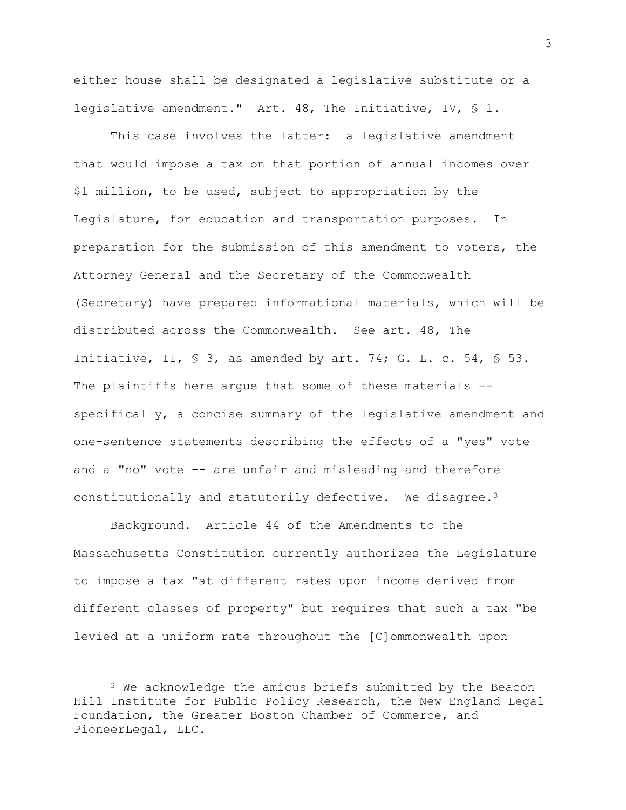either house shall be designated a legislative substitute or a legislative amendment." Art. 48, The Initiative, IV, § 1.

This case involves the latter: a legislative amendment that would impose a tax on that portion of annual incomes over \$1 million, to be used, subject to appropriation by the Legislature, for education and transportation purposes. In preparation for the submission of this amendment to voters, the Attorney General and the Secretary of the Commonwealth (Secretary) have prepared informational materials, which will be distributed across the Commonwealth. See art. 48, The Initiative, II, § 3, as amended by art. 74; G. L. c. 54, § 53. The plaintiffs here argue that some of these materials -specifically, a concise summary of the legislative amendment and one-sentence statements describing the effects of a "yes" vote and a "no" vote -- are unfair and misleading and therefore constitutionally and statutorily defective. We disagree.<sup>3</sup>

Background. Article 44 of the Amendments to the Massachusetts Constitution currently authorizes the Legislature to impose a tax "at different rates upon income derived from different classes of property" but requires that such a tax "be levied at a uniform rate throughout the [C]ommonwealth upon

<sup>&</sup>lt;sup>3</sup> We acknowledge the amicus briefs submitted by the Beacon Hill Institute for Public Policy Research, the New England Legal Foundation, the Greater Boston Chamber of Commerce, and PioneerLegal, LLC.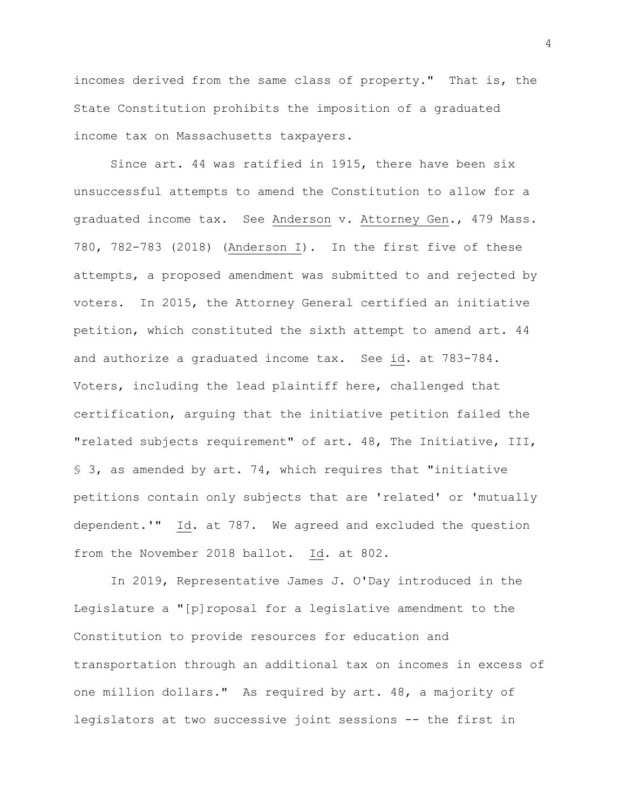incomes derived from the same class of property." That is, the State Constitution prohibits the imposition of a graduated income tax on Massachusetts taxpayers.

Since art. 44 was ratified in 1915, there have been six unsuccessful attempts to amend the Constitution to allow for a graduated income tax. See Anderson v. Attorney Gen., 479 Mass. 780, 782-783 (2018) (Anderson I). In the first five of these attempts, a proposed amendment was submitted to and rejected by voters. In 2015, the Attorney General certified an initiative petition, which constituted the sixth attempt to amend art. 44 and authorize a graduated income tax. See id. at 783-784. Voters, including the lead plaintiff here, challenged that certification, arguing that the initiative petition failed the "related subjects requirement" of art. 48, The Initiative, III, § 3, as amended by art. 74, which requires that "initiative petitions contain only subjects that are 'related' or 'mutually dependent.'" Id. at 787. We agreed and excluded the question from the November 2018 ballot. Id. at 802.

In 2019, Representative James J. O'Day introduced in the Legislature a "[p]roposal for a legislative amendment to the Constitution to provide resources for education and transportation through an additional tax on incomes in excess of one million dollars." As required by art. 48, a majority of legislators at two successive joint sessions -- the first in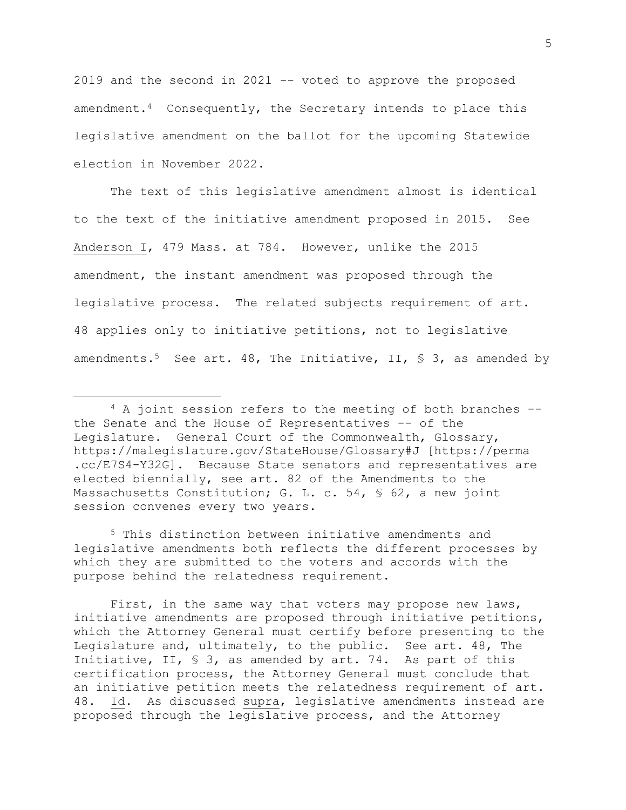2019 and the second in 2021 -- voted to approve the proposed amendment.4 Consequently, the Secretary intends to place this legislative amendment on the ballot for the upcoming Statewide election in November 2022.

The text of this legislative amendment almost is identical to the text of the initiative amendment proposed in 2015. See Anderson I, 479 Mass. at 784. However, unlike the 2015 amendment, the instant amendment was proposed through the legislative process. The related subjects requirement of art. 48 applies only to initiative petitions, not to legislative amendments.<sup>5</sup> See art. 48, The Initiative, II, § 3, as amended by

<sup>5</sup> This distinction between initiative amendments and legislative amendments both reflects the different processes by which they are submitted to the voters and accords with the purpose behind the relatedness requirement.

First, in the same way that voters may propose new laws, initiative amendments are proposed through initiative petitions, which the Attorney General must certify before presenting to the Legislature and, ultimately, to the public. See art. 48, The Initiative, II, § 3, as amended by art. 74. As part of this certification process, the Attorney General must conclude that an initiative petition meets the relatedness requirement of art. 48. Id. As discussed supra, legislative amendments instead are proposed through the legislative process, and the Attorney

<sup>4</sup> A joint session refers to the meeting of both branches - the Senate and the House of Representatives -- of the Legislature. General Court of the Commonwealth, Glossary, https://malegislature.gov/StateHouse/Glossary#J [https://perma .cc/E7S4-Y32G]. Because State senators and representatives are elected biennially, see art. 82 of the Amendments to the Massachusetts Constitution; G. L. c. 54, § 62, a new joint session convenes every two years.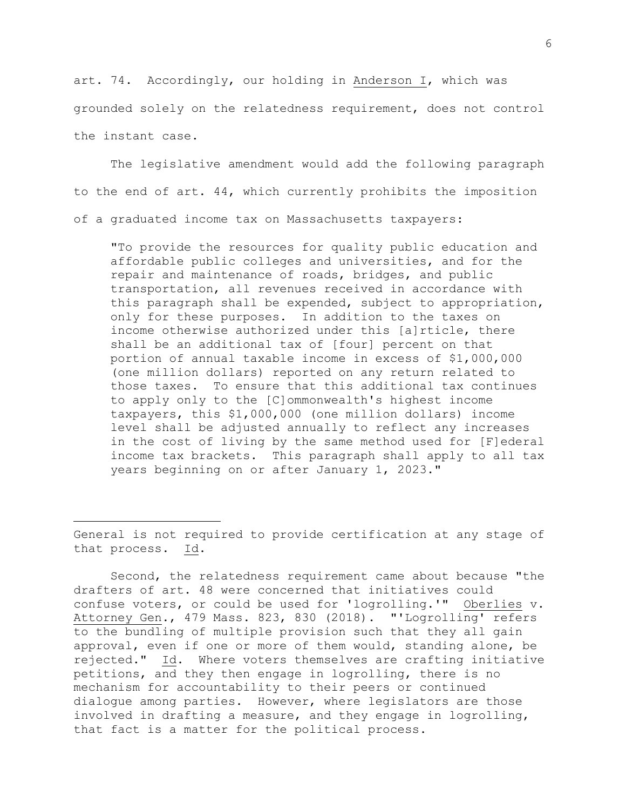art. 74. Accordingly, our holding in Anderson I, which was grounded solely on the relatedness requirement, does not control the instant case.

The legislative amendment would add the following paragraph to the end of art. 44, which currently prohibits the imposition of a graduated income tax on Massachusetts taxpayers:

"To provide the resources for quality public education and affordable public colleges and universities, and for the repair and maintenance of roads, bridges, and public transportation, all revenues received in accordance with this paragraph shall be expended, subject to appropriation, only for these purposes. In addition to the taxes on income otherwise authorized under this [a]rticle, there shall be an additional tax of [four] percent on that portion of annual taxable income in excess of \$1,000,000 (one million dollars) reported on any return related to those taxes. To ensure that this additional tax continues to apply only to the [C]ommonwealth's highest income taxpayers, this \$1,000,000 (one million dollars) income level shall be adjusted annually to reflect any increases in the cost of living by the same method used for [F]ederal income tax brackets. This paragraph shall apply to all tax years beginning on or after January 1, 2023."

General is not required to provide certification at any stage of that process. Id.

Second, the relatedness requirement came about because "the drafters of art. 48 were concerned that initiatives could confuse voters, or could be used for 'logrolling.'" Oberlies v. Attorney Gen., 479 Mass. 823, 830 (2018). "'Logrolling' refers to the bundling of multiple provision such that they all gain approval, even if one or more of them would, standing alone, be rejected." Id. Where voters themselves are crafting initiative petitions, and they then engage in logrolling, there is no mechanism for accountability to their peers or continued dialogue among parties. However, where legislators are those involved in drafting a measure, and they engage in logrolling, that fact is a matter for the political process.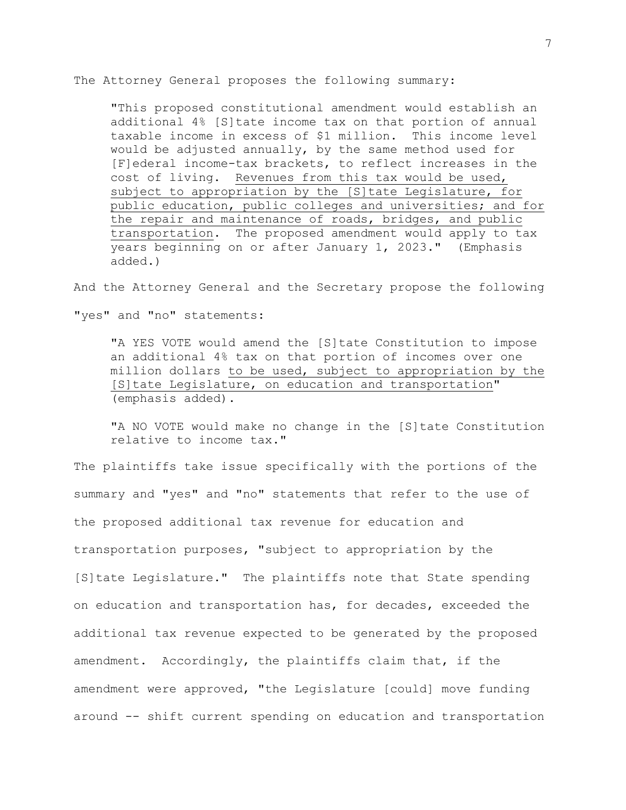The Attorney General proposes the following summary:

"This proposed constitutional amendment would establish an additional 4% [S]tate income tax on that portion of annual taxable income in excess of \$1 million. This income level would be adjusted annually, by the same method used for [F]ederal income-tax brackets, to reflect increases in the cost of living. Revenues from this tax would be used, subject to appropriation by the [S] tate Legislature, for public education, public colleges and universities; and for the repair and maintenance of roads, bridges, and public transportation. The proposed amendment would apply to tax years beginning on or after January 1, 2023." (Emphasis added.)

And the Attorney General and the Secretary propose the following "yes" and "no" statements:

"A YES VOTE would amend the [S]tate Constitution to impose an additional 4% tax on that portion of incomes over one million dollars to be used, subject to appropriation by the [S]tate Legislature, on education and transportation" (emphasis added).

"A NO VOTE would make no change in the [S]tate Constitution relative to income tax."

The plaintiffs take issue specifically with the portions of the summary and "yes" and "no" statements that refer to the use of the proposed additional tax revenue for education and transportation purposes, "subject to appropriation by the [S]tate Legislature." The plaintiffs note that State spending on education and transportation has, for decades, exceeded the additional tax revenue expected to be generated by the proposed amendment. Accordingly, the plaintiffs claim that, if the amendment were approved, "the Legislature [could] move funding around -- shift current spending on education and transportation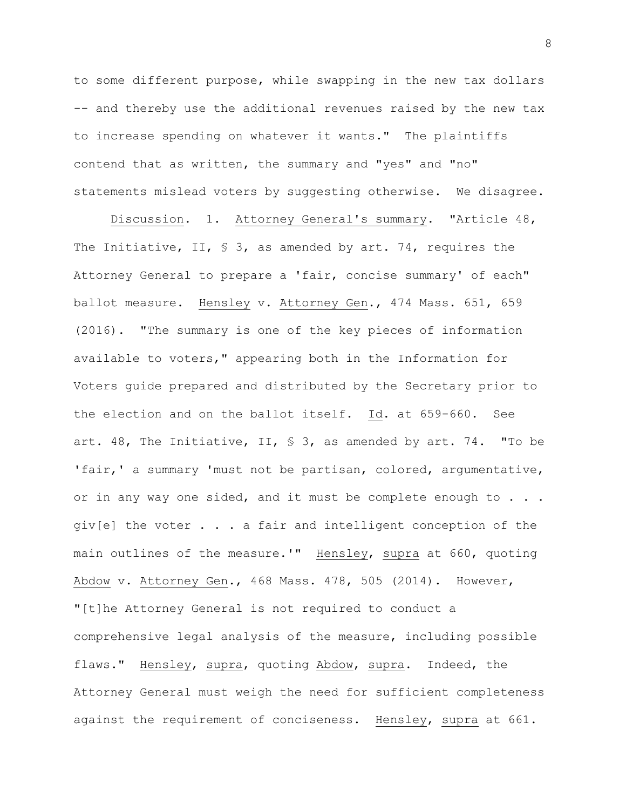to some different purpose, while swapping in the new tax dollars -- and thereby use the additional revenues raised by the new tax to increase spending on whatever it wants." The plaintiffs contend that as written, the summary and "yes" and "no" statements mislead voters by suggesting otherwise. We disagree.

Discussion. 1. Attorney General's summary. "Article 48, The Initiative, II, § 3, as amended by art. 74, requires the Attorney General to prepare a 'fair, concise summary' of each" ballot measure. Hensley v. Attorney Gen., 474 Mass. 651, 659 (2016). "The summary is one of the key pieces of information available to voters," appearing both in the Information for Voters guide prepared and distributed by the Secretary prior to the election and on the ballot itself. Id. at 659-660. See art. 48, The Initiative, II, § 3, as amended by art. 74. "To be 'fair,' a summary 'must not be partisan, colored, argumentative, or in any way one sided, and it must be complete enough to . . . giv[e] the voter . . . a fair and intelligent conception of the main outlines of the measure.'" Hensley, supra at 660, quoting Abdow v. Attorney Gen., 468 Mass. 478, 505 (2014). However, "[t]he Attorney General is not required to conduct a comprehensive legal analysis of the measure, including possible flaws." Hensley, supra, quoting Abdow, supra. Indeed, the Attorney General must weigh the need for sufficient completeness against the requirement of conciseness. Hensley, supra at 661.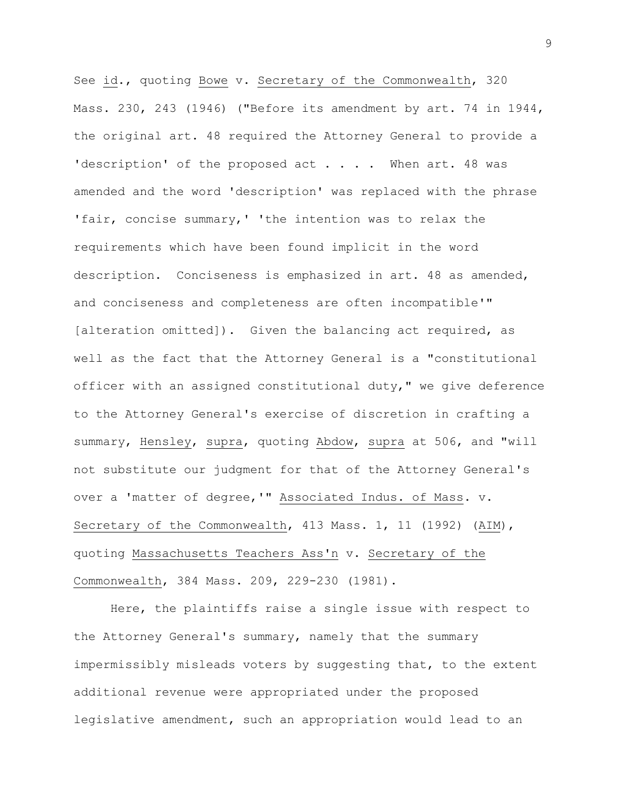See id., quoting Bowe v. Secretary of the Commonwealth, 320 Mass. 230, 243 (1946) ("Before its amendment by art. 74 in 1944, the original art. 48 required the Attorney General to provide a 'description' of the proposed act . . . . When art. 48 was amended and the word 'description' was replaced with the phrase 'fair, concise summary,' 'the intention was to relax the requirements which have been found implicit in the word description. Conciseness is emphasized in art. 48 as amended, and conciseness and completeness are often incompatible'" [alteration omitted]). Given the balancing act required, as well as the fact that the Attorney General is a "constitutional officer with an assigned constitutional duty," we give deference to the Attorney General's exercise of discretion in crafting a summary, Hensley, supra, quoting Abdow, supra at 506, and "will not substitute our judgment for that of the Attorney General's over a 'matter of degree,'" Associated Indus. of Mass. v. Secretary of the Commonwealth, 413 Mass. 1, 11 (1992) (AIM), quoting Massachusetts Teachers Ass'n v. Secretary of the Commonwealth, 384 Mass. 209, 229-230 (1981).

Here, the plaintiffs raise a single issue with respect to the Attorney General's summary, namely that the summary impermissibly misleads voters by suggesting that, to the extent additional revenue were appropriated under the proposed legislative amendment, such an appropriation would lead to an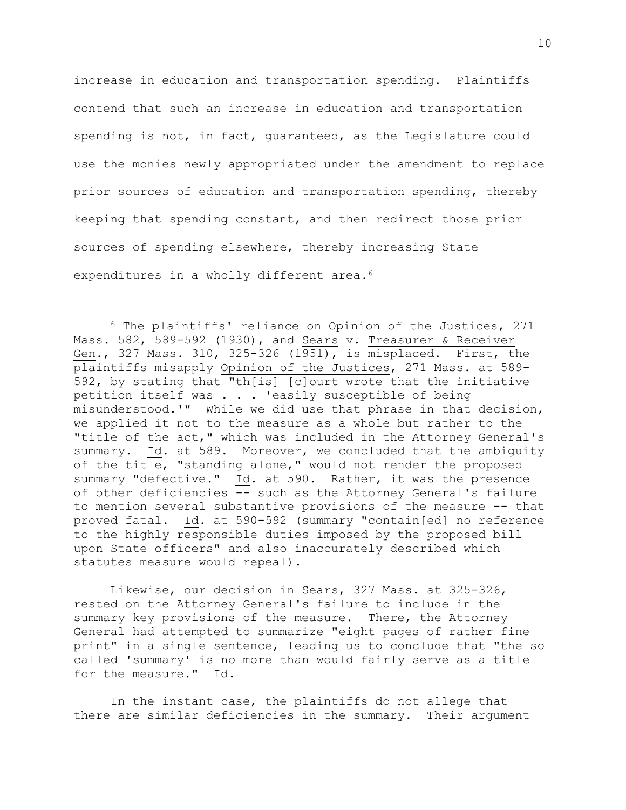increase in education and transportation spending. Plaintiffs contend that such an increase in education and transportation spending is not, in fact, guaranteed, as the Legislature could use the monies newly appropriated under the amendment to replace prior sources of education and transportation spending, thereby keeping that spending constant, and then redirect those prior sources of spending elsewhere, thereby increasing State expenditures in a wholly different area.<sup>6</sup>

Likewise, our decision in Sears, 327 Mass. at 325-326, rested on the Attorney General's failure to include in the summary key provisions of the measure. There, the Attorney General had attempted to summarize "eight pages of rather fine print" in a single sentence, leading us to conclude that "the so called 'summary' is no more than would fairly serve as a title for the measure." Id.

In the instant case, the plaintiffs do not allege that there are similar deficiencies in the summary. Their argument

<sup>6</sup> The plaintiffs' reliance on Opinion of the Justices, 271 Mass. 582, 589-592 (1930), and Sears v. Treasurer & Receiver Gen., 327 Mass. 310, 325-326 (1951), is misplaced. First, the plaintiffs misapply Opinion of the Justices, 271 Mass. at 589- 592, by stating that "th[is] [c]ourt wrote that the initiative petition itself was . . . 'easily susceptible of being misunderstood.'" While we did use that phrase in that decision, we applied it not to the measure as a whole but rather to the "title of the act," which was included in the Attorney General's summary. Id. at 589. Moreover, we concluded that the ambiguity of the title, "standing alone," would not render the proposed summary "defective." Id. at 590. Rather, it was the presence of other deficiencies -- such as the Attorney General's failure to mention several substantive provisions of the measure -- that proved fatal. Id. at 590-592 (summary "contain[ed] no reference to the highly responsible duties imposed by the proposed bill upon State officers" and also inaccurately described which statutes measure would repeal).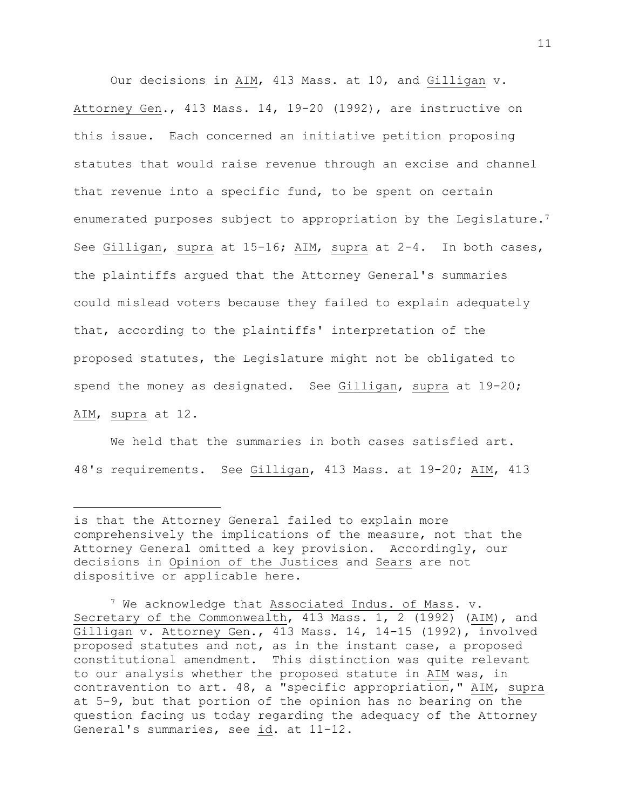Our decisions in AIM, 413 Mass. at 10, and Gilligan v. Attorney Gen., 413 Mass. 14, 19-20 (1992), are instructive on this issue. Each concerned an initiative petition proposing statutes that would raise revenue through an excise and channel that revenue into a specific fund, to be spent on certain enumerated purposes subject to appropriation by the Legislature.<sup>7</sup> See Gilligan, supra at 15-16; AIM, supra at 2-4. In both cases, the plaintiffs argued that the Attorney General's summaries could mislead voters because they failed to explain adequately that, according to the plaintiffs' interpretation of the proposed statutes, the Legislature might not be obligated to spend the money as designated. See Gilligan, supra at 19-20; AIM, supra at 12.

We held that the summaries in both cases satisfied art. 48's requirements. See Gilligan, 413 Mass. at 19-20; AIM, 413

is that the Attorney General failed to explain more comprehensively the implications of the measure, not that the Attorney General omitted a key provision. Accordingly, our decisions in Opinion of the Justices and Sears are not dispositive or applicable here.

<sup>7</sup> We acknowledge that Associated Indus. of Mass. v. Secretary of the Commonwealth, 413 Mass. 1, 2 (1992) (AIM), and Gilligan v. Attorney Gen., 413 Mass. 14, 14-15 (1992), involved proposed statutes and not, as in the instant case, a proposed constitutional amendment. This distinction was quite relevant to our analysis whether the proposed statute in AIM was, in contravention to art. 48, a "specific appropriation," AIM, supra at 5-9, but that portion of the opinion has no bearing on the question facing us today regarding the adequacy of the Attorney General's summaries, see id. at 11-12.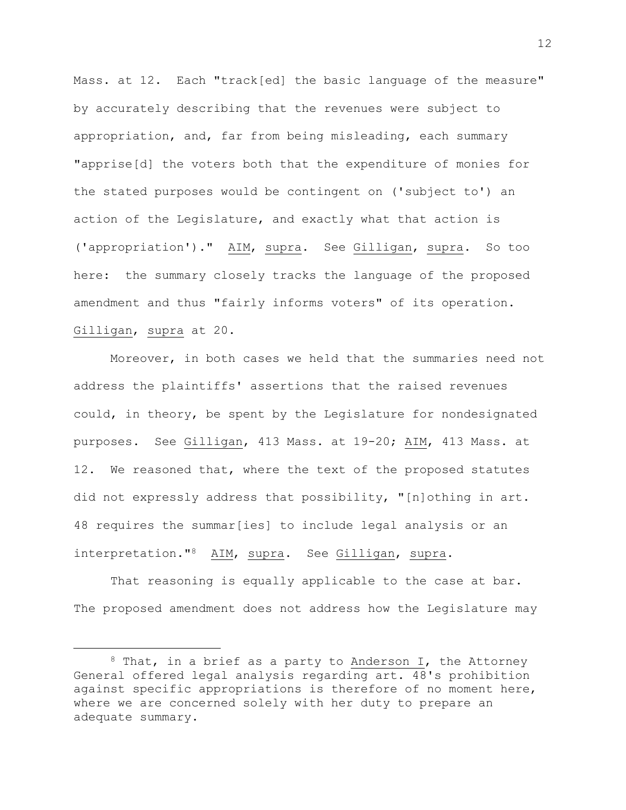Mass. at 12. Each "track[ed] the basic language of the measure" by accurately describing that the revenues were subject to appropriation, and, far from being misleading, each summary "apprise[d] the voters both that the expenditure of monies for the stated purposes would be contingent on ('subject to') an action of the Legislature, and exactly what that action is ('appropriation')." AIM, supra. See Gilligan, supra. So too here: the summary closely tracks the language of the proposed amendment and thus "fairly informs voters" of its operation. Gilligan, supra at 20.

Moreover, in both cases we held that the summaries need not address the plaintiffs' assertions that the raised revenues could, in theory, be spent by the Legislature for nondesignated purposes. See Gilligan, 413 Mass. at 19-20; AIM, 413 Mass. at 12. We reasoned that, where the text of the proposed statutes did not expressly address that possibility, "[n]othing in art. 48 requires the summar[ies] to include legal analysis or an interpretation."8 AIM, supra. See Gilligan, supra.

That reasoning is equally applicable to the case at bar. The proposed amendment does not address how the Legislature may

 $8$  That, in a brief as a party to Anderson I, the Attorney General offered legal analysis regarding art. 48's prohibition against specific appropriations is therefore of no moment here, where we are concerned solely with her duty to prepare an adequate summary.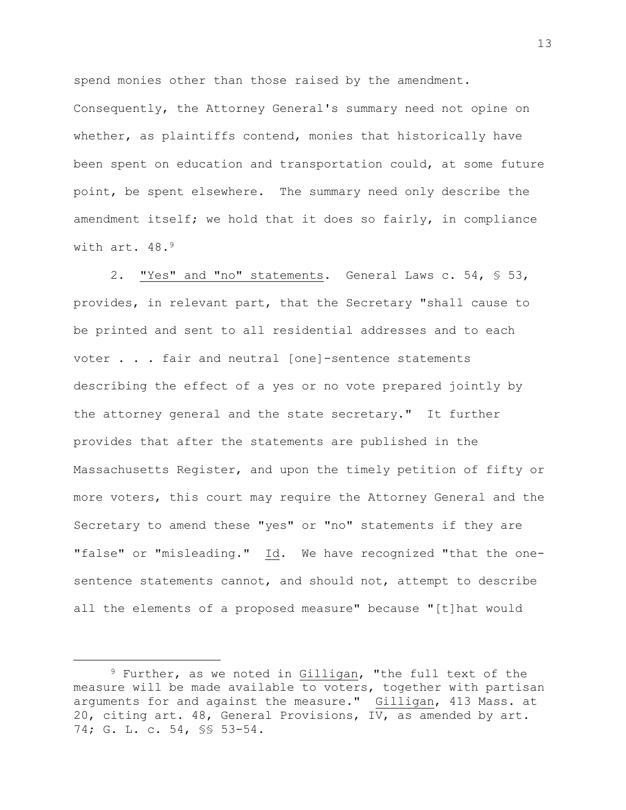spend monies other than those raised by the amendment. Consequently, the Attorney General's summary need not opine on whether, as plaintiffs contend, monies that historically have been spent on education and transportation could, at some future point, be spent elsewhere. The summary need only describe the amendment itself; we hold that it does so fairly, in compliance with art. 48.<sup>9</sup>

2. "Yes" and "no" statements. General Laws c. 54, § 53, provides, in relevant part, that the Secretary "shall cause to be printed and sent to all residential addresses and to each voter . . . fair and neutral [one]-sentence statements describing the effect of a yes or no vote prepared jointly by the attorney general and the state secretary." It further provides that after the statements are published in the Massachusetts Register, and upon the timely petition of fifty or more voters, this court may require the Attorney General and the Secretary to amend these "yes" or "no" statements if they are "false" or "misleading." Id. We have recognized "that the onesentence statements cannot, and should not, attempt to describe all the elements of a proposed measure" because "[t]hat would

13

<sup>&</sup>lt;sup>9</sup> Further, as we noted in Gilligan, "the full text of the measure will be made available to voters, together with partisan arguments for and against the measure." Gilligan, 413 Mass. at 20, citing art. 48, General Provisions, IV, as amended by art. 74; G. L. c. 54, §§ 53-54.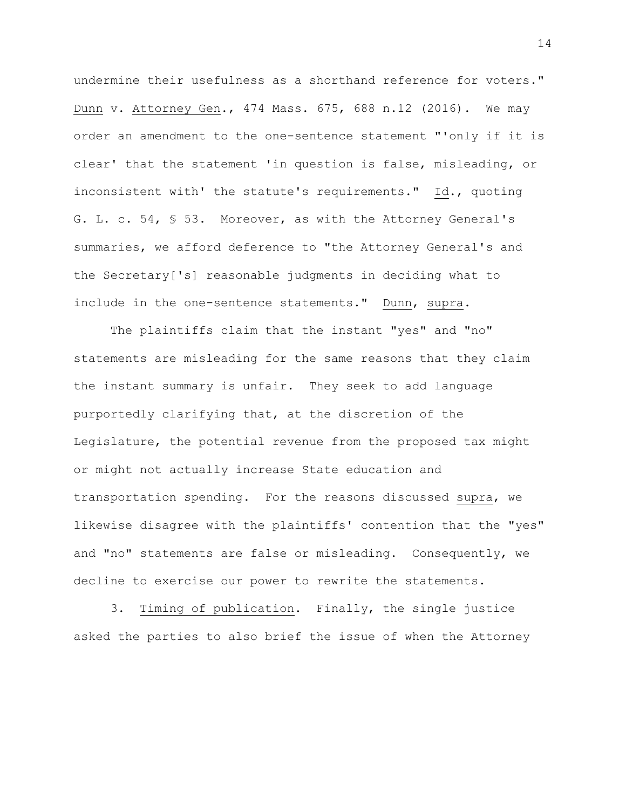undermine their usefulness as a shorthand reference for voters." Dunn v. Attorney Gen., 474 Mass. 675, 688 n.12 (2016). We may order an amendment to the one-sentence statement "'only if it is clear' that the statement 'in question is false, misleading, or inconsistent with' the statute's requirements." Id., quoting G. L. c. 54, § 53. Moreover, as with the Attorney General's summaries, we afford deference to "the Attorney General's and the Secretary['s] reasonable judgments in deciding what to include in the one-sentence statements." Dunn, supra.

The plaintiffs claim that the instant "yes" and "no" statements are misleading for the same reasons that they claim the instant summary is unfair. They seek to add language purportedly clarifying that, at the discretion of the Legislature, the potential revenue from the proposed tax might or might not actually increase State education and transportation spending. For the reasons discussed supra, we likewise disagree with the plaintiffs' contention that the "yes" and "no" statements are false or misleading. Consequently, we decline to exercise our power to rewrite the statements.

3. Timing of publication. Finally, the single justice asked the parties to also brief the issue of when the Attorney

14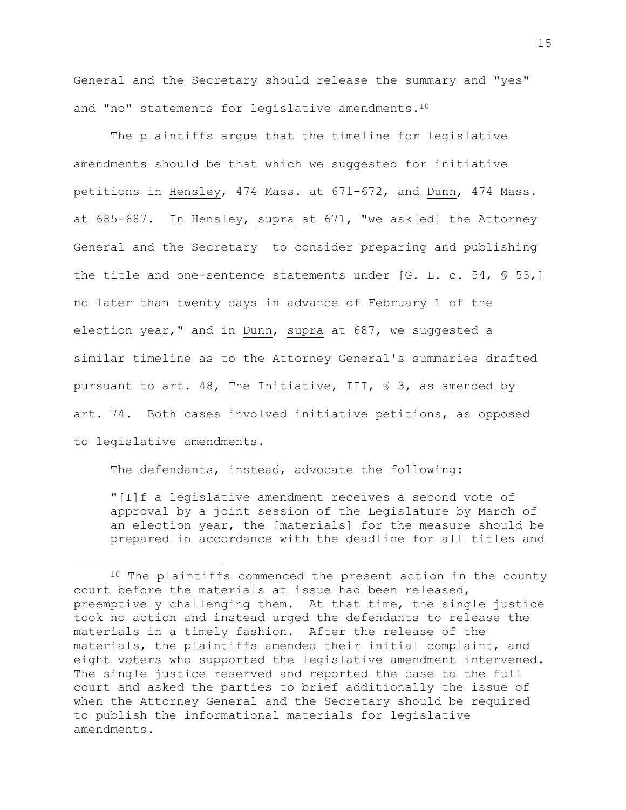General and the Secretary should release the summary and "yes" and "no" statements for legislative amendments.<sup>10</sup>

The plaintiffs argue that the timeline for legislative amendments should be that which we suggested for initiative petitions in Hensley, 474 Mass. at 671-672, and Dunn, 474 Mass. at 685-687. In Hensley, supra at 671, "we ask[ed] the Attorney General and the Secretary to consider preparing and publishing the title and one-sentence statements under [G. L. c. 54, § 53,] no later than twenty days in advance of February 1 of the election year," and in Dunn, supra at 687, we suggested a similar timeline as to the Attorney General's summaries drafted pursuant to art. 48, The Initiative, III, § 3, as amended by art. 74. Both cases involved initiative petitions, as opposed to legislative amendments.

The defendants, instead, advocate the following:

"[I]f a legislative amendment receives a second vote of approval by a joint session of the Legislature by March of an election year, the [materials] for the measure should be prepared in accordance with the deadline for all titles and

<sup>&</sup>lt;sup>10</sup> The plaintiffs commenced the present action in the county court before the materials at issue had been released, preemptively challenging them. At that time, the single justice took no action and instead urged the defendants to release the materials in a timely fashion. After the release of the materials, the plaintiffs amended their initial complaint, and eight voters who supported the legislative amendment intervened. The single justice reserved and reported the case to the full court and asked the parties to brief additionally the issue of when the Attorney General and the Secretary should be required to publish the informational materials for legislative amendments.